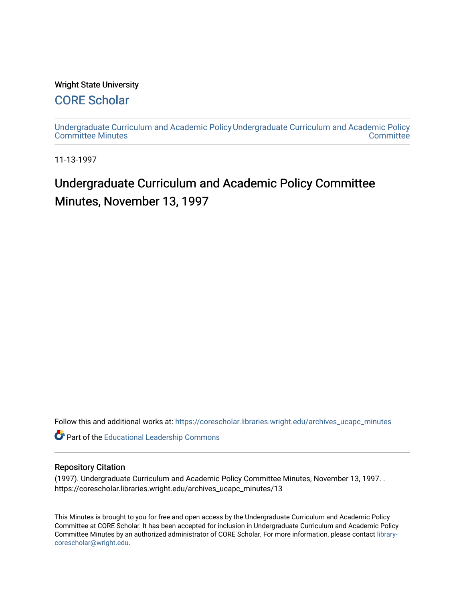### Wright State University

## [CORE Scholar](https://corescholar.libraries.wright.edu/)

[Undergraduate Curriculum and Academic Policy](https://corescholar.libraries.wright.edu/archives_ucapc_minutes) [Undergraduate Curriculum and Academic Policy](https://corescholar.libraries.wright.edu/archives_ucapc)  [Committee Minutes](https://corescholar.libraries.wright.edu/archives_ucapc_minutes) **Committee** 

11-13-1997

# Undergraduate Curriculum and Academic Policy Committee Minutes, November 13, 1997

Follow this and additional works at: [https://corescholar.libraries.wright.edu/archives\\_ucapc\\_minutes](https://corescholar.libraries.wright.edu/archives_ucapc_minutes?utm_source=corescholar.libraries.wright.edu%2Farchives_ucapc_minutes%2F13&utm_medium=PDF&utm_campaign=PDFCoverPages) 

Part of the [Educational Leadership Commons](http://network.bepress.com/hgg/discipline/1230?utm_source=corescholar.libraries.wright.edu%2Farchives_ucapc_minutes%2F13&utm_medium=PDF&utm_campaign=PDFCoverPages) 

#### Repository Citation

(1997). Undergraduate Curriculum and Academic Policy Committee Minutes, November 13, 1997. . https://corescholar.libraries.wright.edu/archives\_ucapc\_minutes/13

This Minutes is brought to you for free and open access by the Undergraduate Curriculum and Academic Policy Committee at CORE Scholar. It has been accepted for inclusion in Undergraduate Curriculum and Academic Policy Committee Minutes by an authorized administrator of CORE Scholar. For more information, please contact [library](mailto:library-corescholar@wright.edu)[corescholar@wright.edu](mailto:library-corescholar@wright.edu).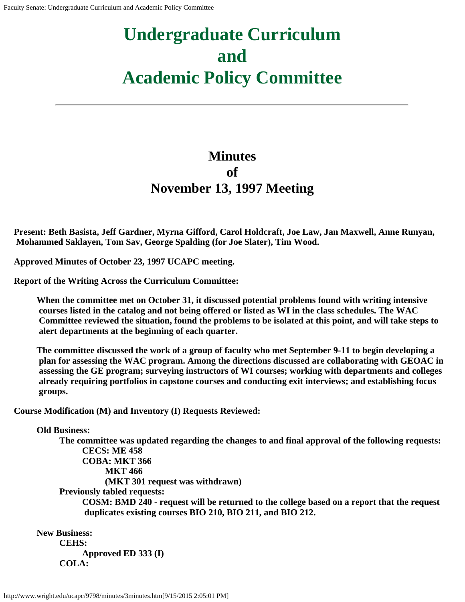# **Undergraduate Curriculum and Academic Policy Committee**

# **Minutes of November 13, 1997 Meeting**

**Present: Beth Basista, Jeff Gardner, Myrna Gifford, Carol Holdcraft, Joe Law, Jan Maxwell, Anne Runyan, Mohammed Saklayen, Tom Sav, George Spalding (for Joe Slater), Tim Wood.**

**Approved Minutes of October 23, 1997 UCAPC meeting.**

**Report of the Writing Across the Curriculum Committee:**

**When the committee met on October 31, it discussed potential problems found with writing intensive courses listed in the catalog and not being offered or listed as WI in the class schedules. The WAC Committee reviewed the situation, found the problems to be isolated at this point, and will take steps to alert departments at the beginning of each quarter.**

**The committee discussed the work of a group of faculty who met September 9-11 to begin developing a plan for assessing the WAC program. Among the directions discussed are collaborating with GEOAC in assessing the GE program; surveying instructors of WI courses; working with departments and colleges already requiring portfolios in capstone courses and conducting exit interviews; and establishing focus groups.**

**Course Modification (M) and Inventory (I) Requests Reviewed:**

## **Old Business:**

**The committee was updated regarding the changes to and final approval of the following requests: CECS: ME 458 COBA: MKT 366 MKT 466 (MKT 301 request was withdrawn) Previously tabled requests: COSM: BMD 240 - request will be returned to the college based on a report that the request duplicates existing courses BIO 210, BIO 211, and BIO 212.**

**New Business: CEHS: Approved ED 333 (I) COLA:**